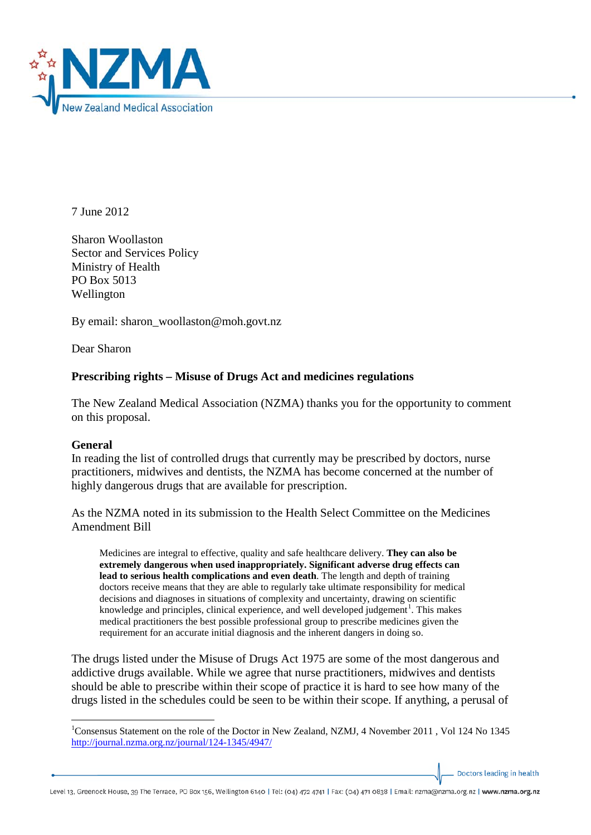

7 June 2012

Sharon Woollaston Sector and Services Policy Ministry of Health PO Box 5013 Wellington

By email: sharon\_woollaston@moh.govt.nz

Dear Sharon

# **Prescribing rights – Misuse of Drugs Act and medicines regulations**

The New Zealand Medical Association (NZMA) thanks you for the opportunity to comment on this proposal.

## **General**

In reading the list of controlled drugs that currently may be prescribed by doctors, nurse practitioners, midwives and dentists, the NZMA has become concerned at the number of highly dangerous drugs that are available for prescription.

As the NZMA noted in its submission to the Health Select Committee on the Medicines Amendment Bill

Medicines are integral to effective, quality and safe healthcare delivery. **They can also be extremely dangerous when used inappropriately. Significant adverse drug effects can lead to serious health complications and even death**. The length and depth of training doctors receive means that they are able to regularly take ultimate responsibility for medical decisions and diagnoses in situations of complexity and uncertainty, drawing on scientific knowledge and principles, clinical experience, and well developed judgement<sup>[1](#page-0-0)</sup>. This makes medical practitioners the best possible professional group to prescribe medicines given the requirement for an accurate initial diagnosis and the inherent dangers in doing so.

The drugs listed under the Misuse of Drugs Act 1975 are some of the most dangerous and addictive drugs available. While we agree that nurse practitioners, midwives and dentists should be able to prescribe within their scope of practice it is hard to see how many of the drugs listed in the schedules could be seen to be within their scope. If anything, a perusal of

Doctors leading in health

<span id="page-0-0"></span> $\frac{1}{1}$ <sup>1</sup>Consensus Statement on the role of the Doctor in New Zealand, NZMJ, 4 November 2011, Vol 124 No 1345 <http://journal.nzma.org.nz/journal/124-1345/4947/>